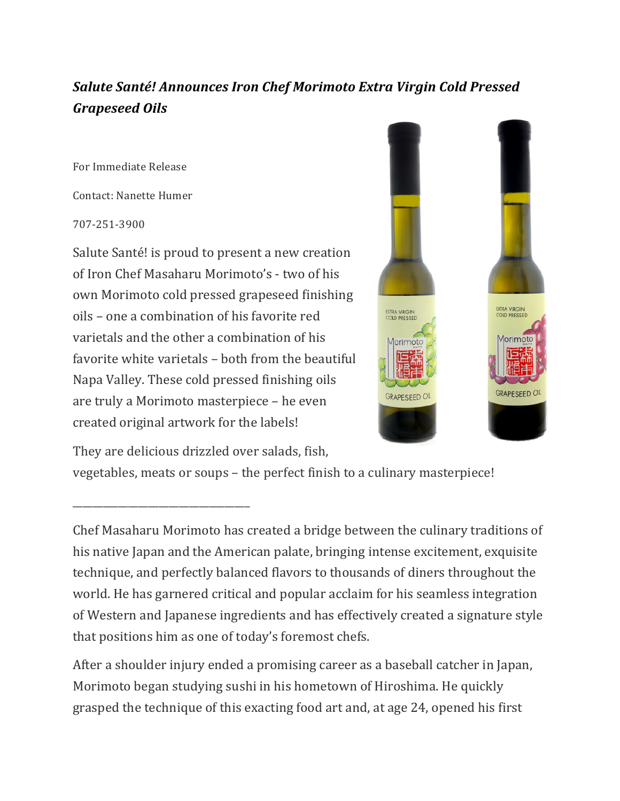## **Salute Santé! Announces Iron Chef Morimoto Extra Virgin Cold Pressed** *Grapeseed Oils*

For Immediate Release

Contact: Nanette Humer

707-251-3900

Salute Santé! is proud to present a new creation of Iron Chef Masaharu Morimoto's - two of his own Morimoto cold pressed grapeseed finishing oils – one a combination of his favorite red varietals and the other a combination of his favorite white varietals – both from the beautiful Napa Valley. These cold pressed finishing oils are truly a Morimoto masterpiece – he even created original artwork for the labels!



They are delicious drizzled over salads, fish,

\_\_\_\_\_\_\_\_\_\_\_\_\_\_\_\_\_\_\_\_\_\_\_\_\_\_\_\_\_\_\_\_\_\_\_

vegetables, meats or soups – the perfect finish to a culinary masterpiece!

Chef Masaharu Morimoto has created a bridge between the culinary traditions of his native Japan and the American palate, bringing intense excitement, exquisite technique, and perfectly balanced flavors to thousands of diners throughout the world. He has garnered critical and popular acclaim for his seamless integration of Western and Japanese ingredients and has effectively created a signature style that positions him as one of today's foremost chefs.

After a shoulder injury ended a promising career as a baseball catcher in Japan, Morimoto began studying sushi in his hometown of Hiroshima. He quickly grasped the technique of this exacting food art and, at age 24, opened his first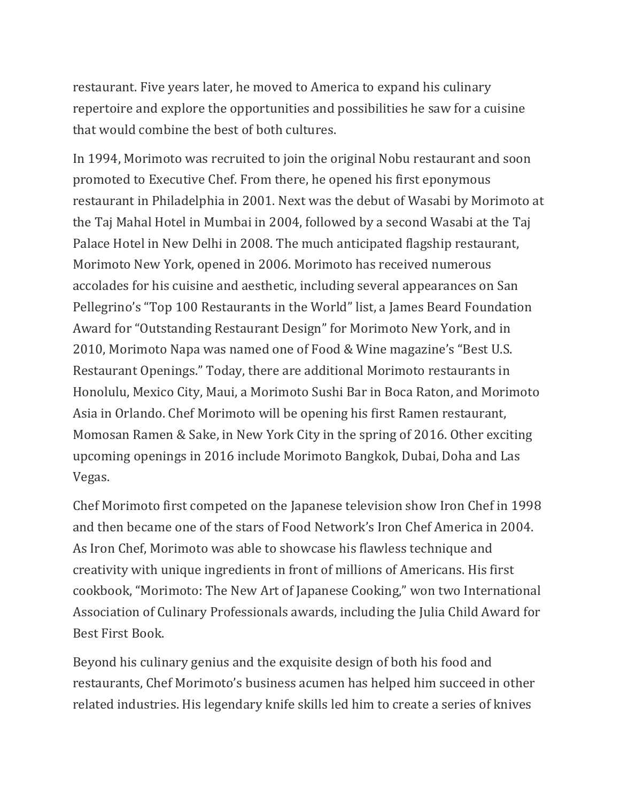restaurant. Five years later, he moved to America to expand his culinary repertoire and explore the opportunities and possibilities he saw for a cuisine that would combine the best of both cultures.

In 1994, Morimoto was recruited to join the original Nobu restaurant and soon promoted to Executive Chef. From there, he opened his first eponymous restaurant in Philadelphia in 2001. Next was the debut of Wasabi by Morimoto at the Taj Mahal Hotel in Mumbai in 2004, followed by a second Wasabi at the Taj Palace Hotel in New Delhi in 2008. The much anticipated flagship restaurant, Morimoto New York, opened in 2006. Morimoto has received numerous accolades for his cuisine and aesthetic, including several appearances on San Pellegrino's "Top 100 Restaurants in the World" list, a James Beard Foundation Award for "Outstanding Restaurant Design" for Morimoto New York, and in 2010, Morimoto Napa was named one of Food & Wine magazine's "Best U.S. Restaurant Openings." Today, there are additional Morimoto restaurants in Honolulu, Mexico City, Maui, a Morimoto Sushi Bar in Boca Raton, and Morimoto Asia in Orlando. Chef Morimoto will be opening his first Ramen restaurant, Momosan Ramen & Sake, in New York City in the spring of 2016. Other exciting upcoming openings in 2016 include Morimoto Bangkok, Dubai, Doha and Las Vegas.

Chef Morimoto first competed on the Japanese television show Iron Chef in 1998 and then became one of the stars of Food Network's Iron Chef America in 2004. As Iron Chef, Morimoto was able to showcase his flawless technique and creativity with unique ingredients in front of millions of Americans. His first cookbook, "Morimoto: The New Art of Japanese Cooking," won two International Association of Culinary Professionals awards, including the Julia Child Award for Best First Book.

Beyond his culinary genius and the exquisite design of both his food and restaurants, Chef Morimoto's business acumen has helped him succeed in other related industries. His legendary knife skills led him to create a series of knives